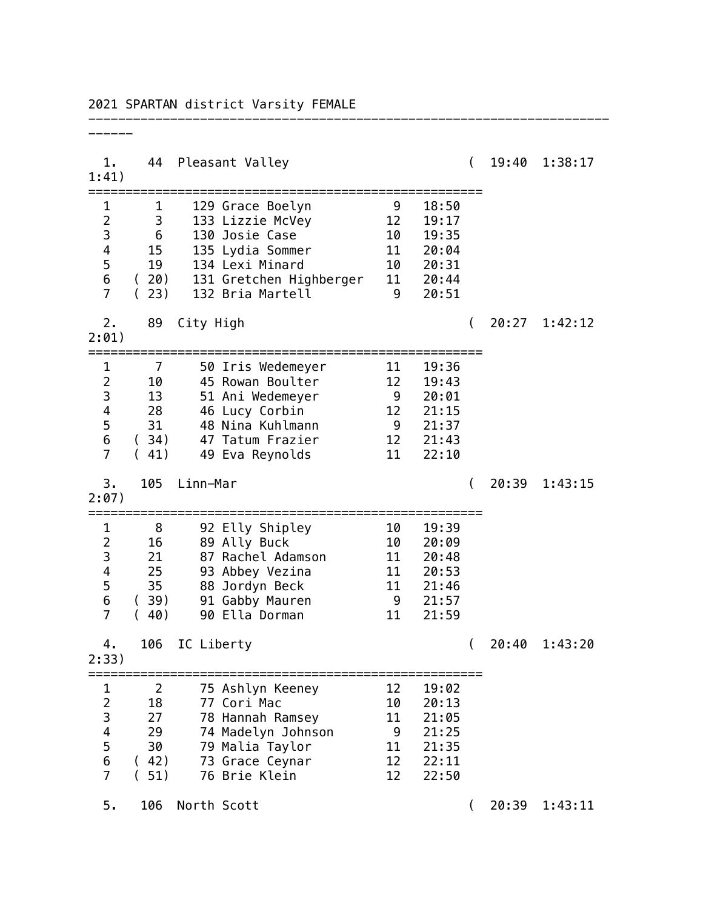| 1.<br>1:41)                                     |                                | 44 Pleasant Valley                    |                |                                                          | $\left($       |       | 19:40 1:38:17 |
|-------------------------------------------------|--------------------------------|---------------------------------------|----------------|----------------------------------------------------------|----------------|-------|---------------|
| 1                                               | 1                              | 129 Grace Boelyn                      | 9              | 18:50                                                    |                |       |               |
| $\overline{2}$                                  | $3^{\circ}$<br>$6\overline{6}$ | 133 Lizzie McVey                      | 12<br>10       | 19:17                                                    |                |       |               |
| 3<br>4                                          |                                | 130 Josie Case<br>15 135 Lydia Sommer |                | 19:35                                                    |                |       |               |
| 5                                               |                                | 19 134 Lexi Minard                    |                | $\begin{bmatrix} 11 & 20.04 \\ 10 & 20.31 \end{bmatrix}$ |                |       |               |
| $\boldsymbol{6}$                                |                                | (20) 131 Gretchen Highberger 11 20:44 |                |                                                          |                |       |               |
| $\overline{7}$                                  | (23)                           | 132 Bria Martell<br>$\overline{9}$    |                | 20:51                                                    |                |       |               |
| 2.<br>2:01)                                     | 89                             | City High                             |                |                                                          | $\overline{ }$ | 20:27 | 1:42:12       |
| $\mathbf{1}$                                    | $\overline{7}$                 | 50 Iris Wedemeyer                     | 11             | 19:36                                                    |                |       |               |
| $\overline{c}$                                  | 10                             | 45 Rowan Boulter                      | 12             | 19:43                                                    |                |       |               |
| $\begin{array}{c} 3 \\ 4 \\ 5 \\ 6 \end{array}$ | 13                             | 51 Ani Wedemeyer                      | $\overline{9}$ | 20:01                                                    |                |       |               |
|                                                 | 28                             | 46 Lucy Corbin<br>31 48 Nina Kuhlmann |                | 12 21:15<br>$9 \quad 21:37$                              |                |       |               |
|                                                 |                                | (34) 47 Tatum Frazier                 |                | 12 21:43                                                 |                |       |               |
| $\overline{7}$                                  | (41)                           | 49 Eva Reynolds                       | 11             | 22:10                                                    |                |       |               |
| 3.<br>2:07)                                     | 105                            | Linn-Mar                              |                |                                                          | $\overline{ }$ | 20:39 | 1:43:15       |
| $\mathbf{1}$                                    | 8                              | 92 Elly Shipley                       | 10             | 19:39                                                    |                |       |               |
| $\frac{2}{3}$                                   | 16                             | 89 Ally Buck                          | 10             | 20:09                                                    |                |       |               |
|                                                 | 21                             | 87 Rachel Adamson                     |                | 11 20:48                                                 |                |       |               |
| 4                                               | 25<br>35                       | 93 Abbey Vezina                       | 11             | 11 20:53<br>21:46                                        |                |       |               |
| 5<br>6                                          | (39)                           | 88 Jordyn Beck<br>91 Gabby Mauren     | $\overline{9}$ | 21:57                                                    |                |       |               |
| $\overline{7}$                                  | (40)                           | 90 Ella Dorman                        | 11             | 21:59                                                    |                |       |               |
| 4.<br>2:33)                                     | 106                            | IC Liberty                            |                |                                                          | $\overline{ }$ | 20:40 | 1:43:20       |
| 1                                               | 2                              | 75 Ashlyn Keeney                      | 12             | 19:02                                                    |                |       |               |
| $\overline{2}$                                  | 18                             | 77 Cori Mac                           | 10             | 20:13                                                    |                |       |               |
| 3                                               | 27                             | 78 Hannah Ramsey                      | 11             | 21:05                                                    |                |       |               |
| 4                                               | 29                             | 74 Madelyn Johnson                    | 9              | 21:25                                                    |                |       |               |
| 5<br>$\overline{6}$                             | 30<br>(42)                     | 79 Malia Taylor<br>73 Grace Ceynar    | 11<br>12       | 21:35<br>22:11                                           |                |       |               |
| $\overline{7}$                                  | (51)                           | 76 Brie Klein                         | 12             | 22:50                                                    |                |       |               |
|                                                 |                                |                                       |                |                                                          |                |       |               |
| 5.                                              | 106                            | North Scott                           |                |                                                          | $\overline{ }$ | 20:39 | 1:43:11       |

2021 SPARTAN district Varsity FEMALE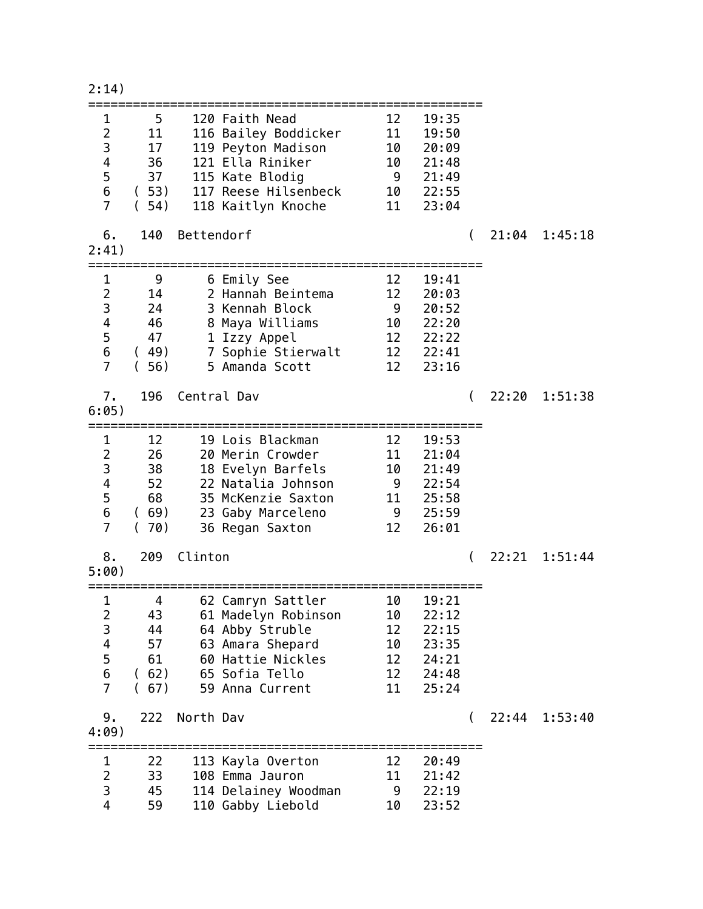## 2:14)

| $\mathbf{1}$<br>$\overline{2}$<br>3<br>$\overline{\mathbf{4}}$<br>$\frac{5}{6}$<br>$\overline{7}$ | 5 <sub>1</sub><br>11<br>17<br>36<br>37<br>(53)<br>(54) |                 | 120 Faith Nead<br>116 Bailey Boddicker<br>119 Peyton Madison<br>121 Ella Riniker<br>115 Kate Blodig<br>117 Reese Hilsenbeck<br>118 Kaitlyn Knoche | 12<br>11<br>10<br>10                   | 19:35<br>19:50<br>20:09<br>21:48<br>9 21:49<br>10 22:55<br>11 23:04         |          |       |               |
|---------------------------------------------------------------------------------------------------|--------------------------------------------------------|-----------------|---------------------------------------------------------------------------------------------------------------------------------------------------|----------------------------------------|-----------------------------------------------------------------------------|----------|-------|---------------|
| 6.<br>2:41)                                                                                       | 140                                                    | Bettendorf      |                                                                                                                                                   |                                        |                                                                             | $\left($ |       | 21:04 1:45:18 |
| $\mathbf{1}$<br>$\overline{2}$<br>3<br>$\overline{\mathbf{4}}$<br>5<br>6<br>$\overline{7}$        | 9<br>14<br>24<br>46<br>47<br>(49)<br>(56)              |                 | 6 Emily See<br>2 Hannah Beintema<br>3 Kennah Block<br>8 Maya Williams<br>1 Izzy Appel<br>7 Sophie Stierwalt<br>5 Amanda Scott                     | 12<br>12                               | 19:41<br>20:03<br>$9$ 20:52<br>10 22:20<br>12 22:22<br>12 22:41<br>12 23:16 |          |       |               |
| 7.<br>6:05)                                                                                       |                                                        | 196 Central Dav |                                                                                                                                                   |                                        |                                                                             |          |       | 22:20 1:51:38 |
| $\mathbf 1$<br>$\overline{2}$<br>3<br>$\overline{\mathbf{4}}$<br>5<br>$\bf 6$<br>$\overline{7}$   | 12<br>26<br>38<br>52<br>68<br>(69)<br>(70)             |                 | 19 Lois Blackman<br>20 Merin Crowder<br>18 Evelyn Barfels<br>22 Natalia Johnson<br>35 McKenzie Saxton<br>23 Gaby Marceleno<br>36 Regan Saxton     | 12<br>11<br>12                         | 19:53<br>21:04<br>10 21:49<br>$9$ 22:54<br>11 25:58<br>9 25:59<br>26:01     |          |       |               |
| 8.<br>5:00)                                                                                       | 209                                                    | Clinton         |                                                                                                                                                   |                                        |                                                                             | $\left($ |       | 22:21 1:51:44 |
| 1<br>2 <sup>7</sup><br>3<br>$\overline{4}$<br>5<br>$\overline{6}$<br>$\overline{7}$               | 4<br>43<br>44<br>57<br>61<br>(62)<br>(67)              |                 | 62 Camryn Sattler<br>61 Madelyn Robinson<br>64 Abby Struble<br>63 Amara Shepard<br>60 Hattie Nickles<br>65 Sofia Tello<br>59 Anna Current         | 10<br>10<br>12<br>10<br>12<br>12<br>11 | 19:21<br>22:12<br>22:15<br>23:35<br>24:21<br>24:48<br>25:24                 |          |       |               |
| 9.<br>4:09)                                                                                       | 222                                                    | North Dav       |                                                                                                                                                   |                                        |                                                                             | $\left($ | 22:44 | 1:53:40       |
| 1<br>$\overline{2}$<br>3<br>$\overline{4}$                                                        | 22<br>33<br>45<br>59                                   |                 | 113 Kayla Overton<br>108 Emma Jauron<br>114 Delainey Woodman<br>110 Gabby Liebold                                                                 | 12<br>11<br>9<br>10                    | 20:49<br>21:42<br>22:19<br>23:52                                            |          |       |               |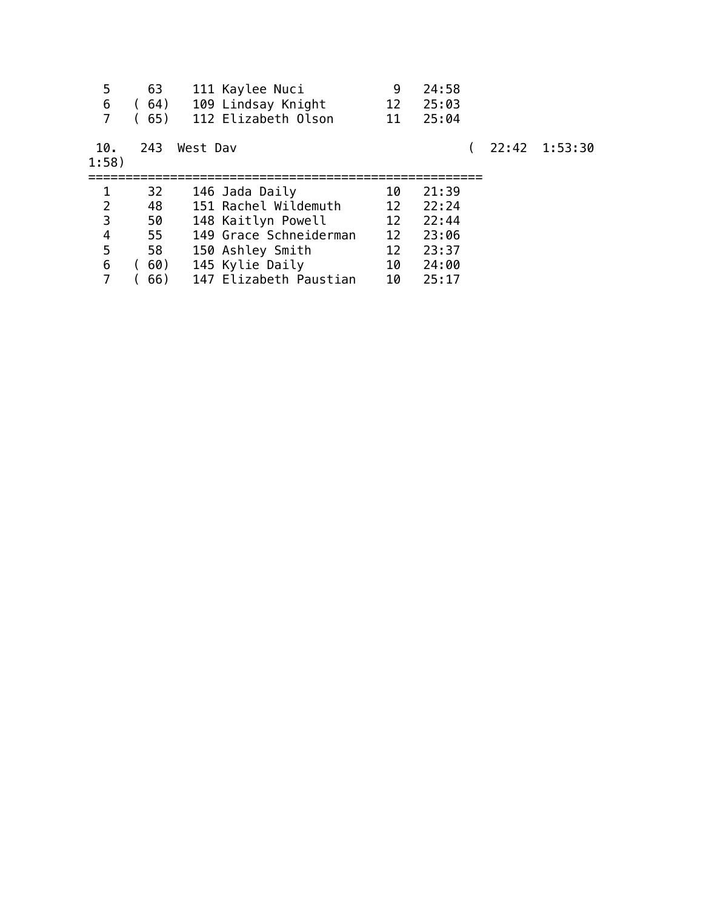| 5<br>6<br>7  | 63<br>(64)<br>(65) | 111 Kaylee Nuci<br>109 Lindsay Knight<br>112 Elizabeth Olson | 9<br>12<br>11 | 24:58<br>25:03<br>25:04 |  |               |
|--------------|--------------------|--------------------------------------------------------------|---------------|-------------------------|--|---------------|
| 10.<br>1:58) | 243                | West Dav                                                     |               |                         |  | 22:42 1:53:30 |
| 1            | 32                 | 146 Jada Daily                                               | 10            | 21:39                   |  |               |
| 2            | 48                 | 151 Rachel Wildemuth                                         | 12            | 22:24                   |  |               |
| 3            | 50                 | 148 Kaitlyn Powell                                           | 12            | 22:44                   |  |               |
| 4            | 55                 | 149 Grace Schneiderman                                       | 12            | 23:06                   |  |               |
| 5            | 58                 | 150 Ashley Smith                                             | 12            | 23:37                   |  |               |
| 6            | 60)                | 145 Kylie Daily                                              | 10            | 24:00                   |  |               |
| 7            | 66)                | 147 Elizabeth Paustian                                       | 10            | 25:17                   |  |               |
|              |                    |                                                              |               |                         |  |               |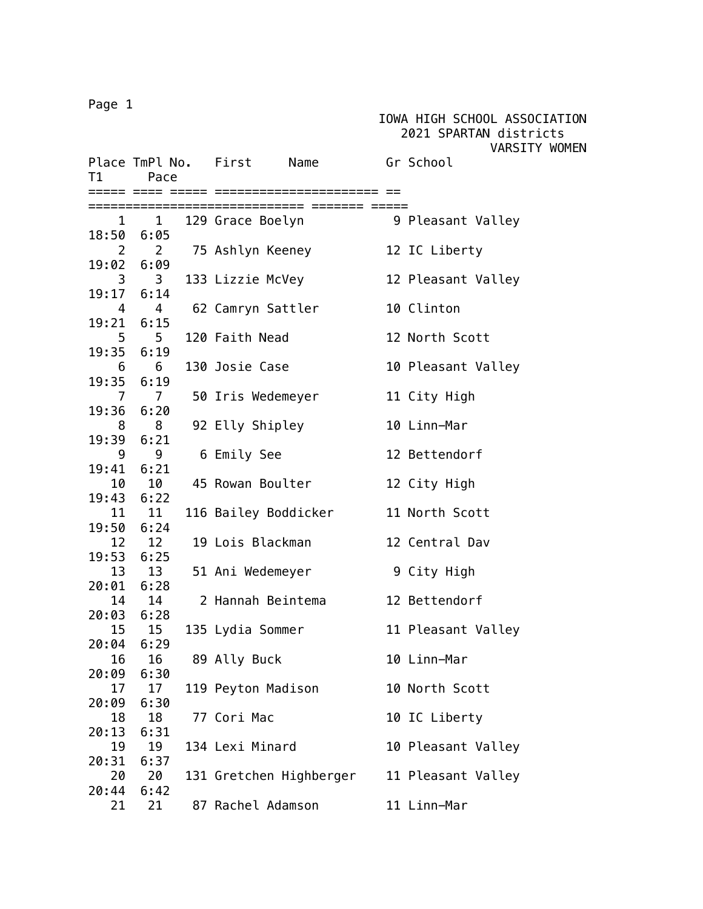## Page 1

 2021 SPARTAN districts VARSITY WOMEN Place TmPl No. First Name Gr School T1 Pace ===== ==== ===== ====================== == ============================= ======= ===== 1 1 129 Grace Boelyn 9 Pleasant Valley 18:50 6:05 2 2 75 Ashlyn Keeney 12 IC Liberty 19:02 6:09 3 3 133 Lizzie McVey 12 Pleasant Valley 19:17 6:14 4 4 62 Camryn Sattler 10 Clinton 19:21 6:15 5 5 120 Faith Nead 12 North Scott 19:35 6:19 6 6 130 Josie Case 10 Pleasant Valley 19:35 6:19 7 7 50 Iris Wedemeyer 11 City High 19:36 6:20 8 8 92 Elly Shipley 10 Linn-Mar 19:39 6:21 9 9 6 Emily See 312 Bettendorf 19:41 6:21 10 10 45 Rowan Boulter 12 City High 19:43 6:22 11 11 116 Bailey Boddicker 11 North Scott 19:50 6:24 12 12 19 Lois Blackman 12 Central Dav 19:53 6:25 13 13 51 Ani Wedemeyer 9 City High 20:01 6:28 14 14 2 Hannah Beintema 12 Bettendorf 20:03 6:28 15 15 135 Lydia Sommer 11 Pleasant Valley 20:04 6:29 16 16 89 Ally Buck 10 Linn-Mar 20:09 6:30 17 17 119 Peyton Madison 10 North Scott 20:09 6:30 18 18 77 Cori Mac 10 IC Liberty 20:13 6:31 19 19 134 Lexi Minard 10 Pleasant Valley 20:31 6:37 20 20 131 Gretchen Highberger 11 Pleasant Valley 20:44 6:42 21 21 87 Rachel Adamson 11 Linn-Mar

IOWA HIGH SCHOOL ASSOCIATION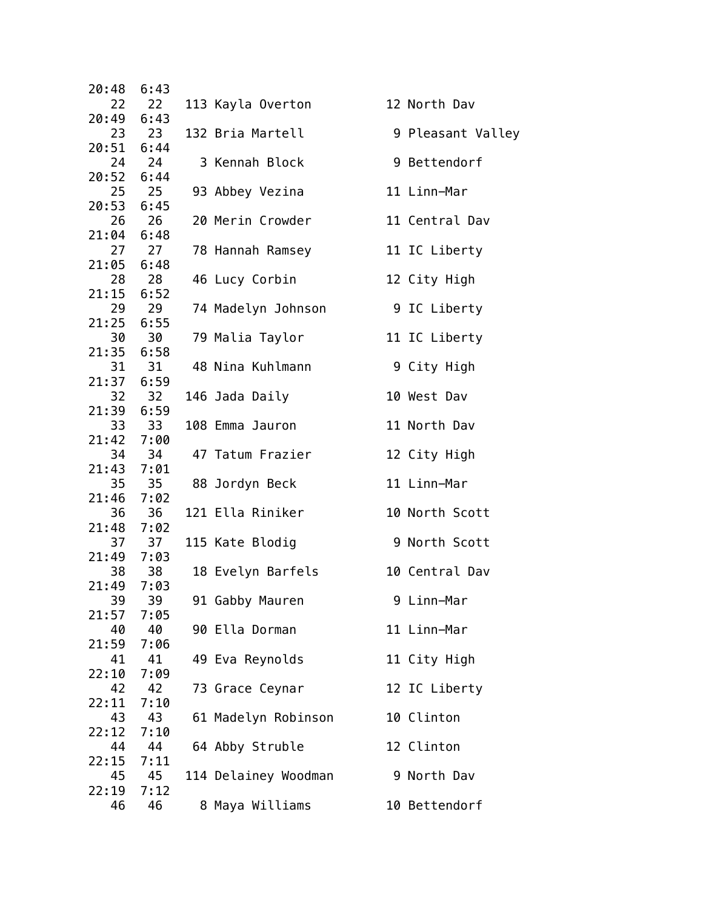| 20:48       | 6:43       |                                 |                   |
|-------------|------------|---------------------------------|-------------------|
| 22          | 22         | 113 Kayla Overton               | 12 North Dav      |
| 20:49 6:43  |            |                                 |                   |
|             | 23 23      | 132 Bria Martell                | 9 Pleasant Valley |
| 20:51 6:44  |            |                                 |                   |
|             | 24 24      | 3 Kennah Block                  | 9 Bettendorf      |
| 20:52 6:44  |            |                                 |                   |
|             | 25 25      | 93 Abbey Vezina                 | 11 Linn-Mar       |
| 20:53 6:45  |            |                                 |                   |
| 26          | 26         | 20 Merin Crowder                | 11 Central Dav    |
| 21:04       | 6:48       |                                 |                   |
|             | 27 27      | 78 Hannah Ramsey                | 11 IC Liberty     |
| 21:05 6:48  |            |                                 |                   |
| 21:15 6:52  | 28 28      | 46 Lucy Corbin                  | 12 City High      |
|             | 29 29      |                                 |                   |
| 21:25 6:55  |            | 74 Madelyn Johnson 9 IC Liberty |                   |
| 30          | 30         | 79 Malia Taylor                 | 11 IC Liberty     |
| 21:35       | 6:58       |                                 |                   |
|             | 31 31      | 48 Nina Kuhlmann                | 9 City High       |
| 21:37 6:59  |            |                                 |                   |
| 32          | 32         | 146 Jada Daily                  | 10 West Dav       |
| 21:39 6:59  |            |                                 |                   |
|             | 33 33      | 108 Emma Jauron                 | 11 North Dav      |
| 21:42 7:00  |            |                                 |                   |
| 34          | 34         | 47 Tatum Frazier                | 12 City High      |
| 21:43       | 7:01       |                                 |                   |
|             | 35 35      | 88 Jordyn Beck                  | 11 Linn-Mar       |
| 21:46 7:02  |            |                                 |                   |
| 36          | 36         | 121 Ella Riniker                | 10 North Scott    |
| 21:48 7:02  |            |                                 |                   |
|             | 37 37      | 115 Kate Blodig                 | 9 North Scott     |
| 21:49 7:03  |            |                                 |                   |
| 38          | 38         | 18 Evelyn Barfels               | 10 Central Dav    |
| 21:49       | 7:03       |                                 |                   |
| 39          | 39         | 91 Gabby Mauren                 | 9 Linn-Mar        |
| 21:57       | 7:05       |                                 |                   |
| 40          | 40         | 90 Ella Dorman                  | 11 Linn-Mar       |
| 21:59       | 7:06       |                                 |                   |
| 41          | 41         | 49 Eva Reynolds                 | 11 City High      |
| 22:10<br>42 | 7:09       |                                 |                   |
| 22:11       | 42<br>7:10 | 73 Grace Ceynar                 | 12 IC Liberty     |
| 43          | 43         | 61 Madelyn Robinson             | 10 Clinton        |
| 22:12       | 7:10       |                                 |                   |
| 44          | 44         | 64 Abby Struble                 | 12 Clinton        |
| 22:15       | 7:11       |                                 |                   |
| 45          | 45         | 114 Delainey Woodman            | 9 North Dav       |
| 22:19       | 7:12       |                                 |                   |
| 46          | 46         | 8 Maya Williams                 | 10 Bettendorf     |